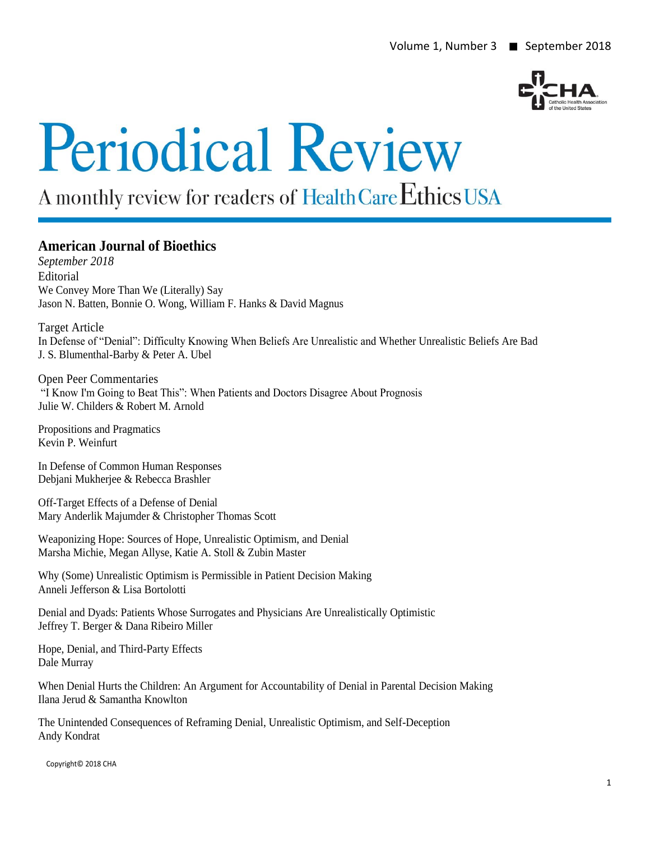

# **Periodical Review**

# A monthly review for readers of Health Care Ethics USA

# **American Journal of Bioethics**

*September 2018* Editorial We Convey More Than We (Literally) Say Jason N. Batten, Bonnie O. Wong, William F. Hanks & David Magnus

Target Article In Defense of "Denial": Difficulty Knowing When Beliefs Are Unrealistic and Whether Unrealistic Beliefs Are Bad J. S. Blumenthal-Barby & Peter A. Ubel

Open Peer Commentaries "I Know I'm Going to Beat This": When Patients and Doctors Disagree About Prognosis Julie W. Childers & Robert M. Arnold

Propositions and Pragmatics Kevin P. Weinfurt

In Defense of Common Human Responses Debjani Mukherjee & Rebecca Brashler

Off-Target Effects of a Defense of Denial Mary Anderlik Majumder & Christopher Thomas Scott

Weaponizing Hope: Sources of Hope, Unrealistic Optimism, and Denial Marsha Michie, Megan Allyse, Katie A. Stoll & Zubin Master

Why (Some) Unrealistic Optimism is Permissible in Patient Decision Making Anneli Jefferson & Lisa Bortolotti

Denial and Dyads: Patients Whose Surrogates and Physicians Are Unrealistically Optimistic Jeffrey T. Berger & Dana Ribeiro Miller

Hope, Denial, and Third-Party Effects Dale Murray

When Denial Hurts the Children: An Argument for Accountability of Denial in Parental Decision Making Ilana Jerud & Samantha Knowlton

The Unintended Consequences of Reframing Denial, Unrealistic Optimism, and Self-Deception Andy Kondrat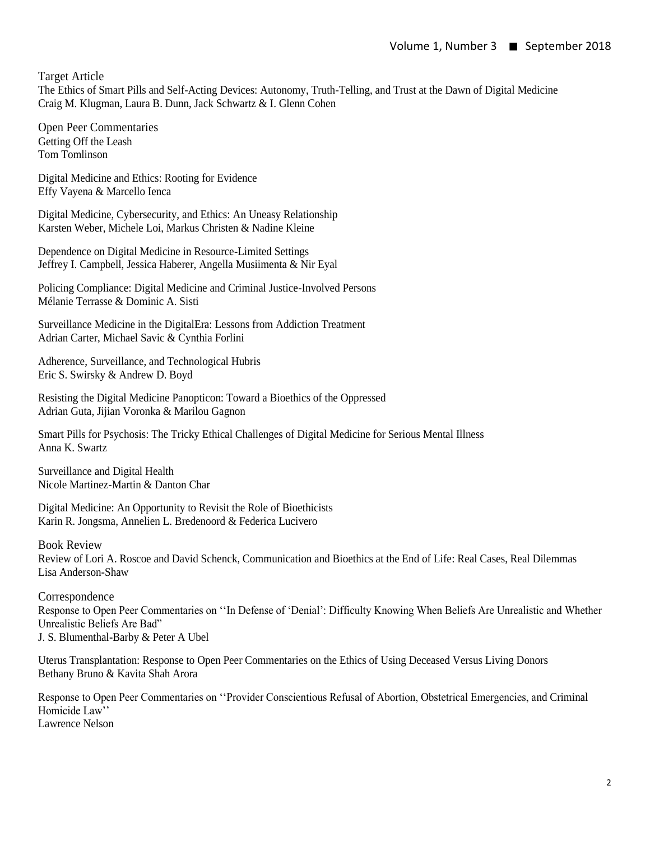Target Article

The Ethics of Smart Pills and Self-Acting Devices: Autonomy, Truth-Telling, and Trust at the Dawn of Digital Medicine Craig M. Klugman, Laura B. Dunn, Jack Schwartz & I. Glenn Cohen

Open Peer Commentaries Getting Off the Leash Tom Tomlinson

Digital Medicine and Ethics: Rooting for Evidence Effy Vayena & Marcello Ienca

Digital Medicine, Cybersecurity, and Ethics: An Uneasy Relationship Karsten Weber, Michele Loi, Markus Christen & Nadine Kleine

Dependence on Digital Medicine in Resource-Limited Settings Jeffrey I. Campbell, Jessica Haberer, Angella Musiimenta & Nir Eyal

Policing Compliance: Digital Medicine and Criminal Justice-Involved Persons Mélanie Terrasse & Dominic A. Sisti

Surveillance Medicine in the DigitalEra: Lessons from Addiction Treatment Adrian Carter, Michael Savic & Cynthia Forlini

Adherence, Surveillance, and Technological Hubris Eric S. Swirsky & Andrew D. Boyd

Resisting the Digital Medicine Panopticon: Toward a Bioethics of the Oppressed Adrian Guta, Jijian Voronka & Marilou Gagnon

Smart Pills for Psychosis: The Tricky Ethical Challenges of Digital Medicine for Serious Mental Illness Anna K. Swartz

Surveillance and Digital Health Nicole Martinez-Martin & Danton Char

Digital Medicine: An Opportunity to Revisit the Role of Bioethicists Karin R. Jongsma, Annelien L. Bredenoord & Federica Lucivero

Book Review Review of Lori A. Roscoe and David Schenck, Communication and Bioethics at the End of Life: Real Cases, Real Dilemmas Lisa Anderson-Shaw

Correspondence Response to Open Peer Commentaries on ''In Defense of 'Denial': Difficulty Knowing When Beliefs Are Unrealistic and Whether Unrealistic Beliefs Are Bad" J. S. Blumenthal-Barby & Peter A Ubel

Uterus Transplantation: Response to Open Peer Commentaries on the Ethics of Using Deceased Versus Living Donors Bethany Bruno & Kavita Shah Arora

Response to Open Peer Commentaries on ''Provider Conscientious Refusal of Abortion, Obstetrical Emergencies, and Criminal Homicide Law'' Lawrence Nelson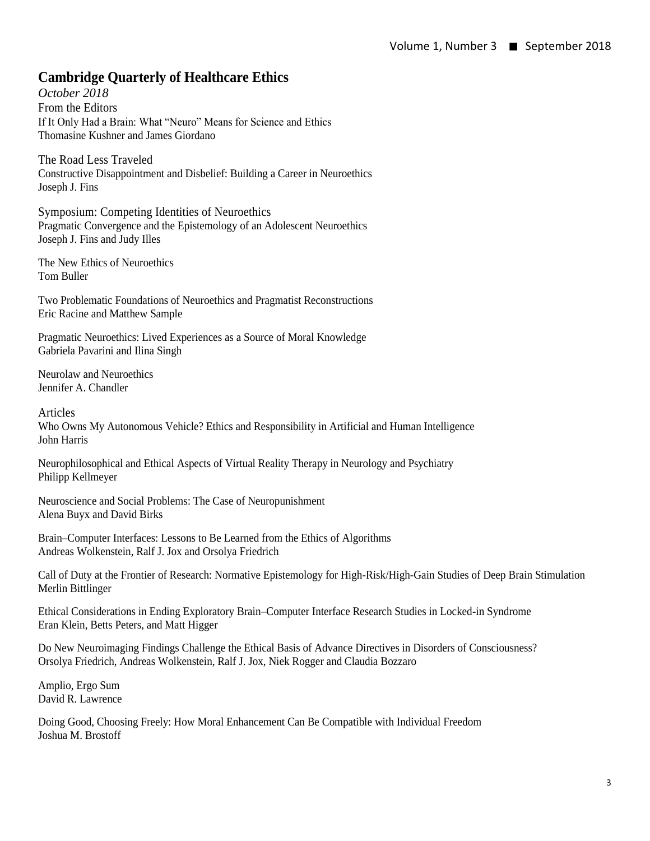# **Cambridge Quarterly of Healthcare Ethics**

*October 2018* From the Editors If It Only Had a Brain: What "Neuro" Means for Science and Ethics Thomasine Kushner and James Giordano

The Road Less Traveled Constructive Disappointment and Disbelief: Building a Career in Neuroethics Joseph J. Fins

Symposium: Competing Identities of Neuroethics Pragmatic Convergence and the Epistemology of an Adolescent Neuroethics Joseph J. Fins and Judy Illes

The New Ethics of Neuroethics Tom Buller

Two Problematic Foundations of Neuroethics and Pragmatist Reconstructions Eric Racine and Matthew Sample

Pragmatic Neuroethics: Lived Experiences as a Source of Moral Knowledge Gabriela Pavarini and Ilina Singh

Neurolaw and Neuroethics Jennifer A. Chandler

Articles Who Owns My Autonomous Vehicle? Ethics and Responsibility in Artificial and Human Intelligence John Harris

Neurophilosophical and Ethical Aspects of Virtual Reality Therapy in Neurology and Psychiatry Philipp Kellmeyer

Neuroscience and Social Problems: The Case of Neuropunishment Alena Buyx and David Birks

Brain–Computer Interfaces: Lessons to Be Learned from the Ethics of Algorithms Andreas Wolkenstein, Ralf J. Jox and Orsolya Friedrich

Call of Duty at the Frontier of Research: Normative Epistemology for High-Risk/High-Gain Studies of Deep Brain Stimulation Merlin Bittlinger

Ethical Considerations in Ending Exploratory Brain–Computer Interface Research Studies in Locked-in Syndrome Eran Klein, Betts Peters, and Matt Higger

Do New Neuroimaging Findings Challenge the Ethical Basis of Advance Directives in Disorders of Consciousness? Orsolya Friedrich, Andreas Wolkenstein, Ralf J. Jox, Niek Rogger and Claudia Bozzaro

Amplio, Ergo Sum David R. Lawrence

Doing Good, Choosing Freely: How Moral Enhancement Can Be Compatible with Individual Freedom Joshua M. Brostoff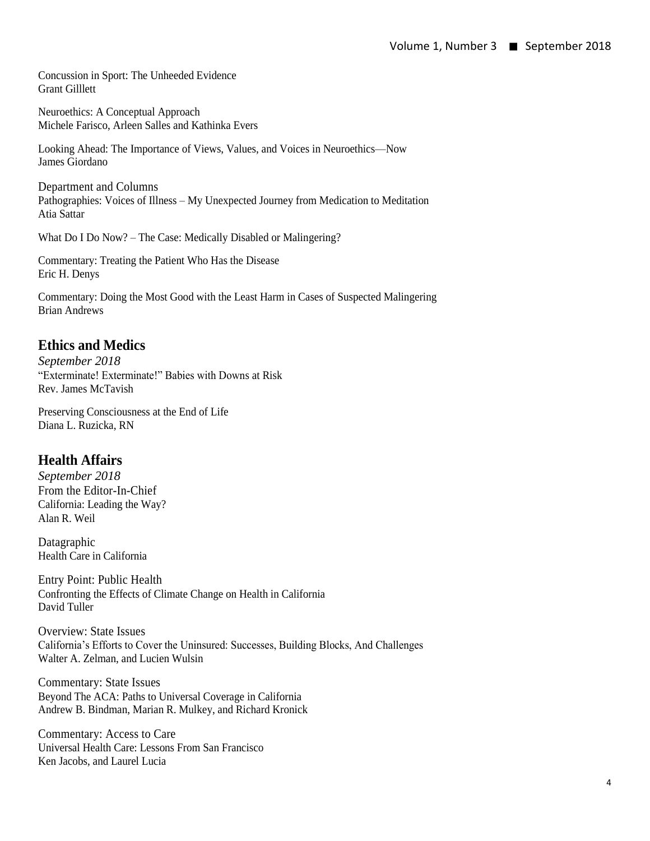Concussion in Sport: The Unheeded Evidence Grant Gilllett

Neuroethics: A Conceptual Approach Michele Farisco, Arleen Salles and Kathinka Evers

Looking Ahead: The Importance of Views, Values, and Voices in Neuroethics—Now James Giordano

Department and Columns Pathographies: Voices of Illness – My Unexpected Journey from Medication to Meditation Atia Sattar

What Do I Do Now? – The Case: Medically Disabled or Malingering?

Commentary: Treating the Patient Who Has the Disease Eric H. Denys

Commentary: Doing the Most Good with the Least Harm in Cases of Suspected Malingering Brian Andrews

# **Ethics and Medics**

*September 2018* "Exterminate! Exterminate!" Babies with Downs at Risk Rev. James McTavish

Preserving Consciousness at the End of Life Diana L. Ruzicka, RN

# **Health Affairs**

*September 2018* From the Editor-In-Chief California: Leading the Way? Alan R. Weil

Datagraphic Health Care in California

Entry Point: Public Health Confronting the Effects of Climate Change on Health in California David Tuller

Overview: State Issues California's Efforts to Cover the Uninsured: Successes, Building Blocks, And Challenges Walter A. Zelman, and Lucien Wulsin

Commentary: State Issues Beyond The ACA: Paths to Universal Coverage in California Andrew B. Bindman, Marian R. Mulkey, and Richard Kronick

Commentary: Access to Care Universal Health Care: Lessons From San Francisco Ken Jacobs, and Laurel Lucia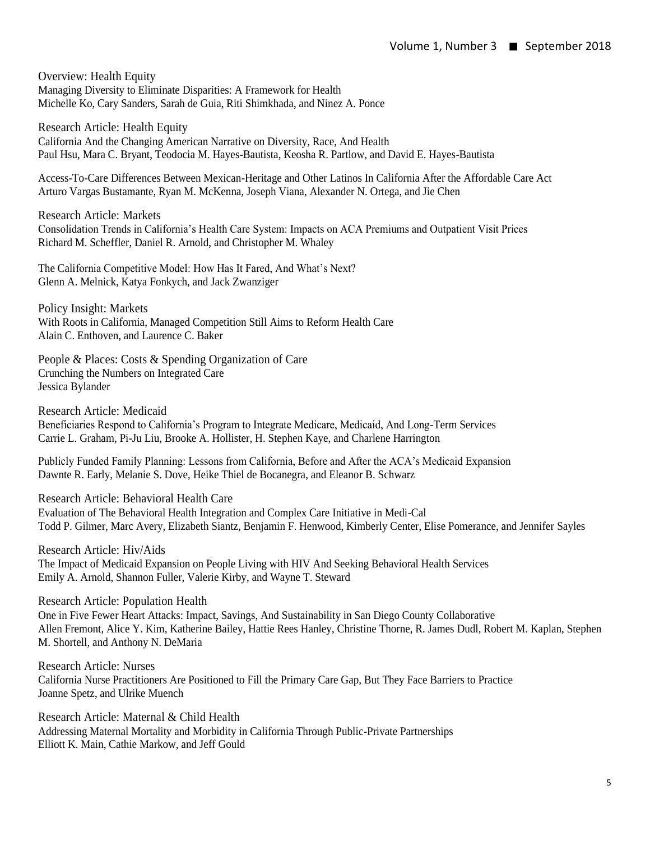Overview: Health Equity Managing Diversity to Eliminate Disparities: A Framework for Health Michelle Ko, Cary Sanders, Sarah de Guia, Riti Shimkhada, and Ninez A. Ponce

Research Article: Health Equity California And the Changing American Narrative on Diversity, Race, And Health Paul Hsu, Mara C. Bryant, Teodocia M. Hayes-Bautista, Keosha R. Partlow, and David E. Hayes-Bautista

Access-To-Care Differences Between Mexican-Heritage and Other Latinos In California After the Affordable Care Act Arturo Vargas Bustamante, Ryan M. McKenna, Joseph Viana, Alexander N. Ortega, and Jie Chen

Research Article: Markets Consolidation Trends in California's Health Care System: Impacts on ACA Premiums and Outpatient Visit Prices Richard M. Scheffler, Daniel R. Arnold, and Christopher M. Whaley

The California Competitive Model: How Has It Fared, And What's Next? Glenn A. Melnick, Katya Fonkych, and Jack Zwanziger

Policy Insight: Markets With Roots in California, Managed Competition Still Aims to Reform Health Care Alain C. Enthoven, and Laurence C. Baker

People & Places: Costs & Spending Organization of Care Crunching the Numbers on Integrated Care Jessica Bylander

Research Article: Medicaid Beneficiaries Respond to California's Program to Integrate Medicare, Medicaid, And Long-Term Services Carrie L. Graham, Pi-Ju Liu, Brooke A. Hollister, H. Stephen Kaye, and Charlene Harrington

Publicly Funded Family Planning: Lessons from California, Before and After the ACA's Medicaid Expansion Dawnte R. Early, Melanie S. Dove, Heike Thiel de Bocanegra, and Eleanor B. Schwarz

Research Article: Behavioral Health Care

Evaluation of The Behavioral Health Integration and Complex Care Initiative in Medi-Cal Todd P. Gilmer, Marc Avery, Elizabeth Siantz, Benjamin F. Henwood, Kimberly Center, Elise Pomerance, and Jennifer Sayles

Research Article: Hiv/Aids The Impact of Medicaid Expansion on People Living with HIV And Seeking Behavioral Health Services Emily A. Arnold, Shannon Fuller, Valerie Kirby, and Wayne T. Steward

Research Article: Population Health

One in Five Fewer Heart Attacks: Impact, Savings, And Sustainability in San Diego County Collaborative Allen Fremont, Alice Y. Kim, Katherine Bailey, Hattie Rees Hanley, Christine Thorne, R. James Dudl, Robert M. Kaplan, Stephen M. Shortell, and Anthony N. DeMaria

Research Article: Nurses California Nurse Practitioners Are Positioned to Fill the Primary Care Gap, But They Face Barriers to Practice Joanne Spetz, and Ulrike Muench

Research Article: Maternal & Child Health Addressing Maternal Mortality and Morbidity in California Through Public-Private Partnerships Elliott K. Main, Cathie Markow, and Jeff Gould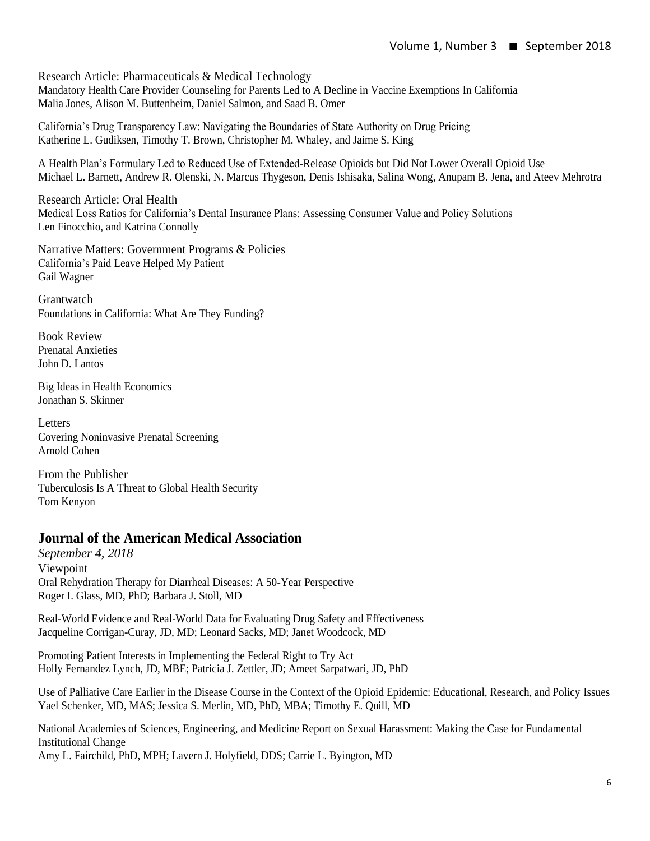Research Article: Pharmaceuticals & Medical Technology Mandatory Health Care Provider Counseling for Parents Led to A Decline in Vaccine Exemptions In California Malia Jones, Alison M. Buttenheim, Daniel Salmon, and Saad B. Omer

California's Drug Transparency Law: Navigating the Boundaries of State Authority on Drug Pricing Katherine L. Gudiksen, Timothy T. Brown, Christopher M. Whaley, and Jaime S. King

A Health Plan's Formulary Led to Reduced Use of Extended-Release Opioids but Did Not Lower Overall Opioid Use Michael L. Barnett, Andrew R. Olenski, N. Marcus Thygeson, Denis Ishisaka, Salina Wong, Anupam B. Jena, and Ateev Mehrotra

Research Article: Oral Health Medical Loss Ratios for California's Dental Insurance Plans: Assessing Consumer Value and Policy Solutions Len Finocchio, and Katrina Connolly

Narrative Matters: Government Programs & Policies California's Paid Leave Helped My Patient Gail Wagner

**Grantwatch** Foundations in California: What Are They Funding?

Book Review Prenatal Anxieties John D. Lantos

Big Ideas in Health Economics Jonathan S. Skinner

**Letters** Covering Noninvasive Prenatal Screening Arnold Cohen

From the Publisher Tuberculosis Is A Threat to Global Health Security Tom Kenyon

# **Journal of the American Medical Association**

*September 4, 2018* Viewpoint Oral Rehydration Therapy for Diarrheal Diseases: A 50-Year Perspective Roger I. Glass, MD, PhD; Barbara J. Stoll, MD

Real-World Evidence and Real-World Data for Evaluating Drug Safety and Effectiveness Jacqueline Corrigan-Curay, JD, MD; Leonard Sacks, MD; Janet Woodcock, MD

Promoting Patient Interests in Implementing the Federal Right to Try Act Holly Fernandez Lynch, JD, MBE; Patricia J. Zettler, JD; Ameet Sarpatwari, JD, PhD

Use of Palliative Care Earlier in the Disease Course in the Context of the Opioid Epidemic: Educational, Research, and Policy Issues Yael Schenker, MD, MAS; Jessica S. Merlin, MD, PhD, MBA; Timothy E. Quill, MD

National Academies of Sciences, Engineering, and Medicine Report on Sexual Harassment: Making the Case for Fundamental Institutional Change Amy L. Fairchild, PhD, MPH; Lavern J. Holyfield, DDS; Carrie L. Byington, MD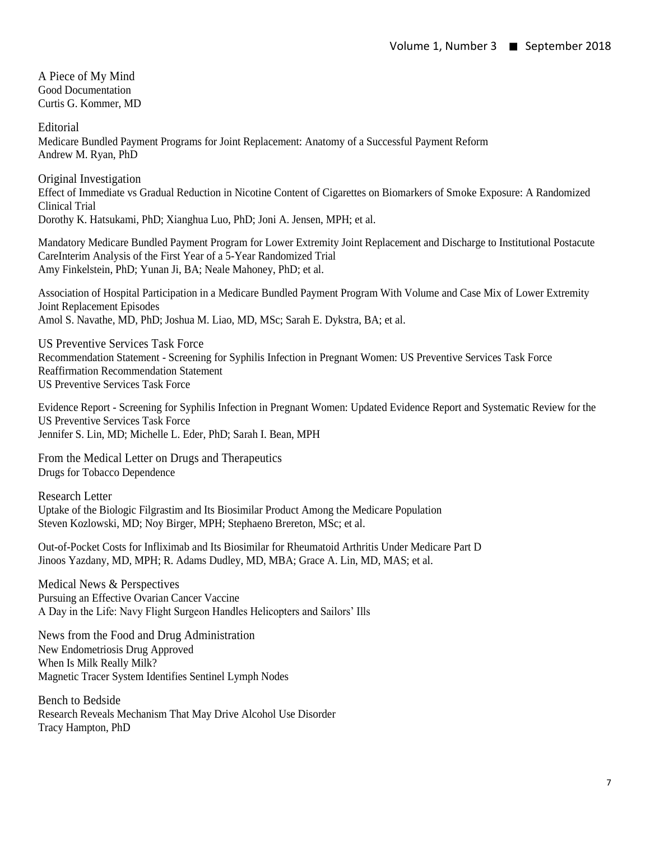A Piece of My Mind Good Documentation Curtis G. Kommer, MD

**Editorial** Medicare Bundled Payment Programs for Joint Replacement: Anatomy of a Successful Payment Reform Andrew M. Ryan, PhD

Original Investigation Effect of Immediate vs Gradual Reduction in Nicotine Content of Cigarettes on Biomarkers of Smoke Exposure: A Randomized Clinical Trial Dorothy K. Hatsukami, PhD; Xianghua Luo, PhD; Joni A. Jensen, MPH; et al.

Mandatory Medicare Bundled Payment Program for Lower Extremity Joint Replacement and Discharge to Institutional Postacute CareInterim Analysis of the First Year of a 5-Year Randomized Trial Amy Finkelstein, PhD; Yunan Ji, BA; Neale Mahoney, PhD; et al.

Association of Hospital Participation in a Medicare Bundled Payment Program With Volume and Case Mix of Lower Extremity Joint Replacement Episodes Amol S. Navathe, MD, PhD; Joshua M. Liao, MD, MSc; Sarah E. Dykstra, BA; et al.

US Preventive Services Task Force Recommendation Statement - Screening for Syphilis Infection in Pregnant Women: US Preventive Services Task Force Reaffirmation Recommendation Statement US Preventive Services Task Force

Evidence Report - Screening for Syphilis Infection in Pregnant Women: Updated Evidence Report and Systematic Review for the US Preventive Services Task Force Jennifer S. Lin, MD; Michelle L. Eder, PhD; Sarah I. Bean, MPH

From the Medical Letter on Drugs and Therapeutics Drugs for Tobacco Dependence

Research Letter Uptake of the Biologic Filgrastim and Its Biosimilar Product Among the Medicare Population Steven Kozlowski, MD; Noy Birger, MPH; Stephaeno Brereton, MSc; et al.

Out-of-Pocket Costs for Infliximab and Its Biosimilar for Rheumatoid Arthritis Under Medicare Part D Jinoos Yazdany, MD, MPH; R. Adams Dudley, MD, MBA; Grace A. Lin, MD, MAS; et al.

Medical News & Perspectives Pursuing an Effective Ovarian Cancer Vaccine A Day in the Life: Navy Flight Surgeon Handles Helicopters and Sailors' Ills

News from the Food and Drug Administration New Endometriosis Drug Approved When Is Milk Really Milk? Magnetic Tracer System Identifies Sentinel Lymph Nodes

Bench to Bedside Research Reveals Mechanism That May Drive Alcohol Use Disorder Tracy Hampton, PhD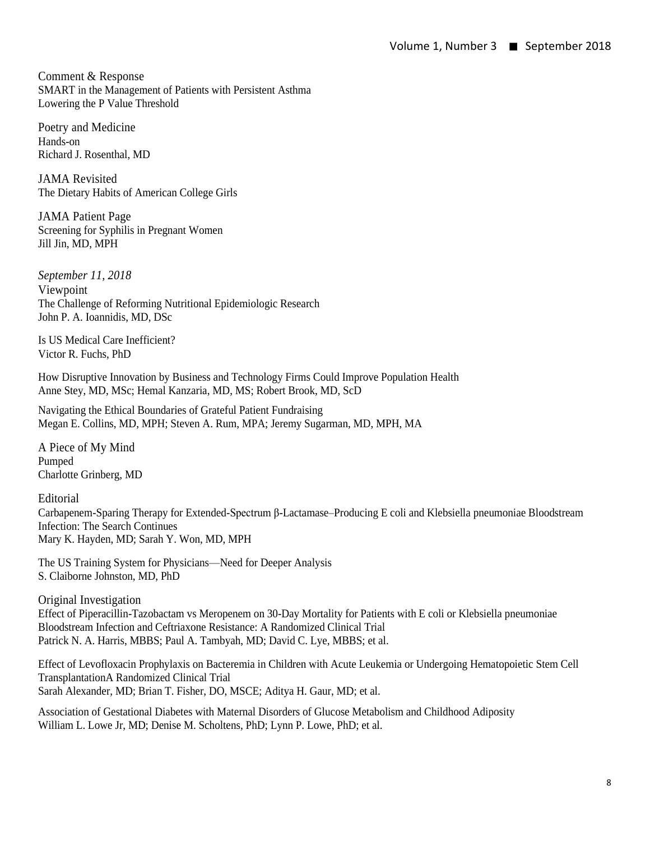Comment & Response SMART in the Management of Patients with Persistent Asthma Lowering the P Value Threshold

Poetry and Medicine Hands-on Richard J. Rosenthal, MD

JAMA Revisited The Dietary Habits of American College Girls

JAMA Patient Page Screening for Syphilis in Pregnant Women Jill Jin, MD, MPH

*September 11, 2018* Viewpoint The Challenge of Reforming Nutritional Epidemiologic Research John P. A. Ioannidis, MD, DSc

Is US Medical Care Inefficient? Victor R. Fuchs, PhD

How Disruptive Innovation by Business and Technology Firms Could Improve Population Health Anne Stey, MD, MSc; Hemal Kanzaria, MD, MS; Robert Brook, MD, ScD

Navigating the Ethical Boundaries of Grateful Patient Fundraising Megan E. Collins, MD, MPH; Steven A. Rum, MPA; Jeremy Sugarman, MD, MPH, MA

A Piece of My Mind Pumped Charlotte Grinberg, MD

**Editorial** Carbapenem-Sparing Therapy for Extended-Spectrum β-Lactamase–Producing E coli and Klebsiella pneumoniae Bloodstream Infection: The Search Continues Mary K. Hayden, MD; Sarah Y. Won, MD, MPH

The US Training System for Physicians—Need for Deeper Analysis S. Claiborne Johnston, MD, PhD

Original Investigation Effect of Piperacillin-Tazobactam vs Meropenem on 30-Day Mortality for Patients with E coli or Klebsiella pneumoniae Bloodstream Infection and Ceftriaxone Resistance: A Randomized Clinical Trial Patrick N. A. Harris, MBBS; Paul A. Tambyah, MD; David C. Lye, MBBS; et al.

Effect of Levofloxacin Prophylaxis on Bacteremia in Children with Acute Leukemia or Undergoing Hematopoietic Stem Cell TransplantationA Randomized Clinical Trial Sarah Alexander, MD; Brian T. Fisher, DO, MSCE; Aditya H. Gaur, MD; et al.

Association of Gestational Diabetes with Maternal Disorders of Glucose Metabolism and Childhood Adiposity William L. Lowe Jr, MD; Denise M. Scholtens, PhD; Lynn P. Lowe, PhD; et al.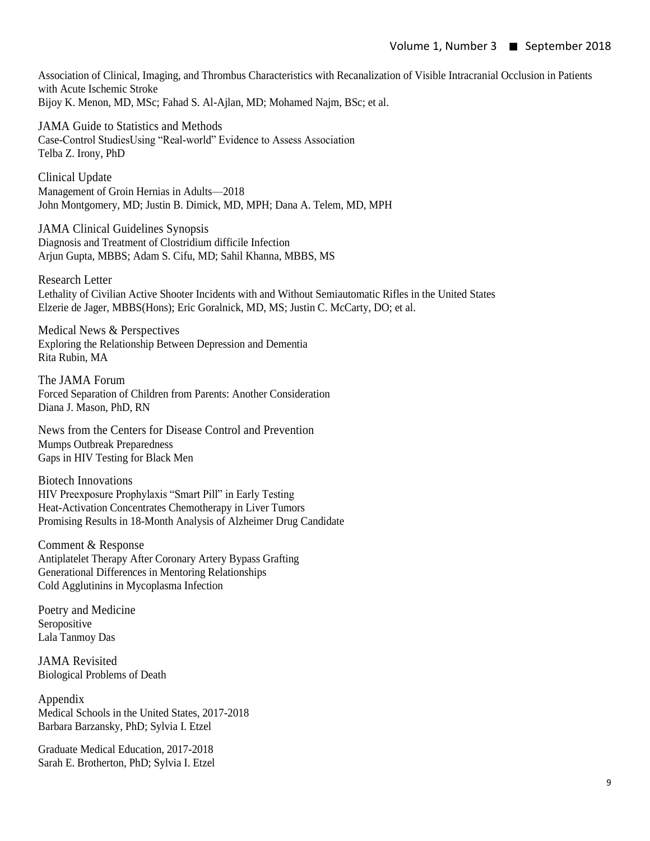Association of Clinical, Imaging, and Thrombus Characteristics with Recanalization of Visible Intracranial Occlusion in Patients with Acute Ischemic Stroke Bijoy K. Menon, MD, MSc; Fahad S. Al-Ajlan, MD; Mohamed Najm, BSc; et al.

JAMA Guide to Statistics and Methods Case-Control StudiesUsing "Real-world" Evidence to Assess Association Telba Z. Irony, PhD

Clinical Update Management of Groin Hernias in Adults—2018 John Montgomery, MD; Justin B. Dimick, MD, MPH; Dana A. Telem, MD, MPH

JAMA Clinical Guidelines Synopsis Diagnosis and Treatment of Clostridium difficile Infection Arjun Gupta, MBBS; Adam S. Cifu, MD; Sahil Khanna, MBBS, MS

Research Letter Lethality of Civilian Active Shooter Incidents with and Without Semiautomatic Rifles in the United States Elzerie de Jager, MBBS(Hons); Eric Goralnick, MD, MS; Justin C. McCarty, DO; et al.

Medical News & Perspectives Exploring the Relationship Between Depression and Dementia Rita Rubin, MA

The JAMA Forum Forced Separation of Children from Parents: Another Consideration Diana J. Mason, PhD, RN

News from the Centers for Disease Control and Prevention Mumps Outbreak Preparedness Gaps in HIV Testing for Black Men

Biotech Innovations HIV Preexposure Prophylaxis "Smart Pill" in Early Testing Heat-Activation Concentrates Chemotherapy in Liver Tumors Promising Results in 18-Month Analysis of Alzheimer Drug Candidate

Comment & Response Antiplatelet Therapy After Coronary Artery Bypass Grafting Generational Differences in Mentoring Relationships Cold Agglutinins in Mycoplasma Infection

Poetry and Medicine Seropositive Lala Tanmoy Das

JAMA Revisited Biological Problems of Death

Appendix Medical Schools in the United States, 2017-2018 Barbara Barzansky, PhD; Sylvia I. Etzel

Graduate Medical Education, 2017-2018 Sarah E. Brotherton, PhD; Sylvia I. Etzel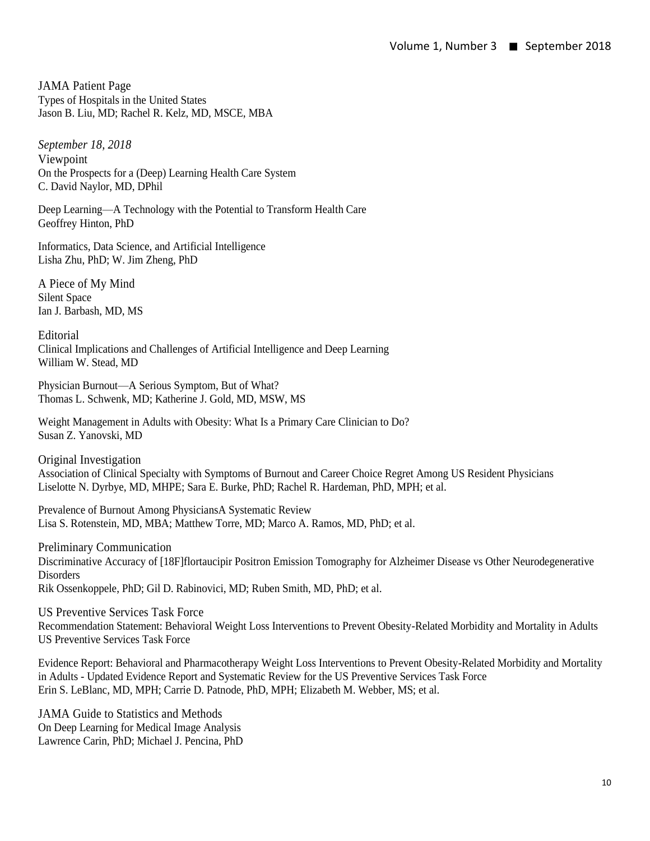JAMA Patient Page Types of Hospitals in the United States Jason B. Liu, MD; Rachel R. Kelz, MD, MSCE, MBA

*September 18, 2018* Viewpoint On the Prospects for a (Deep) Learning Health Care System C. David Naylor, MD, DPhil

Deep Learning—A Technology with the Potential to Transform Health Care Geoffrey Hinton, PhD

Informatics, Data Science, and Artificial Intelligence Lisha Zhu, PhD; W. Jim Zheng, PhD

A Piece of My Mind Silent Space Ian J. Barbash, MD, MS

Editorial Clinical Implications and Challenges of Artificial Intelligence and Deep Learning William W. Stead, MD

Physician Burnout—A Serious Symptom, But of What? Thomas L. Schwenk, MD; Katherine J. Gold, MD, MSW, MS

Weight Management in Adults with Obesity: What Is a Primary Care Clinician to Do? Susan Z. Yanovski, MD

Original Investigation Association of Clinical Specialty with Symptoms of Burnout and Career Choice Regret Among US Resident Physicians Liselotte N. Dyrbye, MD, MHPE; Sara E. Burke, PhD; Rachel R. Hardeman, PhD, MPH; et al.

Prevalence of Burnout Among PhysiciansA Systematic Review Lisa S. Rotenstein, MD, MBA; Matthew Torre, MD; Marco A. Ramos, MD, PhD; et al.

Preliminary Communication Discriminative Accuracy of [18F]flortaucipir Positron Emission Tomography for Alzheimer Disease vs Other Neurodegenerative **Disorders** Rik Ossenkoppele, PhD; Gil D. Rabinovici, MD; Ruben Smith, MD, PhD; et al.

US Preventive Services Task Force Recommendation Statement: Behavioral Weight Loss Interventions to Prevent Obesity-Related Morbidity and Mortality in Adults US Preventive Services Task Force

Evidence Report: Behavioral and Pharmacotherapy Weight Loss Interventions to Prevent Obesity-Related Morbidity and Mortality in Adults - Updated Evidence Report and Systematic Review for the US Preventive Services Task Force Erin S. LeBlanc, MD, MPH; Carrie D. Patnode, PhD, MPH; Elizabeth M. Webber, MS; et al.

JAMA Guide to Statistics and Methods On Deep Learning for Medical Image Analysis Lawrence Carin, PhD; Michael J. Pencina, PhD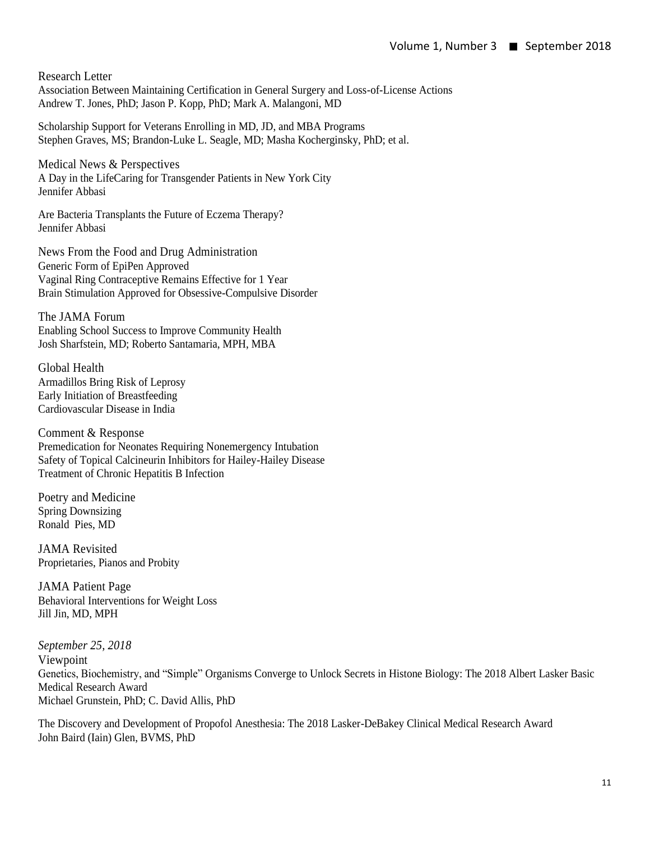Research Letter Association Between Maintaining Certification in General Surgery and Loss-of-License Actions Andrew T. Jones, PhD; Jason P. Kopp, PhD; Mark A. Malangoni, MD

Scholarship Support for Veterans Enrolling in MD, JD, and MBA Programs Stephen Graves, MS; Brandon-Luke L. Seagle, MD; Masha Kocherginsky, PhD; et al.

Medical News & Perspectives A Day in the LifeCaring for Transgender Patients in New York City Jennifer Abbasi

Are Bacteria Transplants the Future of Eczema Therapy? Jennifer Abbasi

News From the Food and Drug Administration Generic Form of EpiPen Approved Vaginal Ring Contraceptive Remains Effective for 1 Year Brain Stimulation Approved for Obsessive-Compulsive Disorder

The JAMA Forum Enabling School Success to Improve Community Health Josh Sharfstein, MD; Roberto Santamaria, MPH, MBA

Global Health Armadillos Bring Risk of Leprosy Early Initiation of Breastfeeding Cardiovascular Disease in India

Comment & Response Premedication for Neonates Requiring Nonemergency Intubation Safety of Topical Calcineurin Inhibitors for Hailey-Hailey Disease Treatment of Chronic Hepatitis B Infection

Poetry and Medicine Spring Downsizing Ronald Pies, MD

JAMA Revisited Proprietaries, Pianos and Probity

JAMA Patient Page Behavioral Interventions for Weight Loss Jill Jin, MD, MPH

*September 25, 2018* Viewpoint Genetics, Biochemistry, and "Simple" Organisms Converge to Unlock Secrets in Histone Biology: The 2018 Albert Lasker Basic Medical Research Award Michael Grunstein, PhD; C. David Allis, PhD

The Discovery and Development of Propofol Anesthesia: The 2018 Lasker-DeBakey Clinical Medical Research Award John Baird (Iain) Glen, BVMS, PhD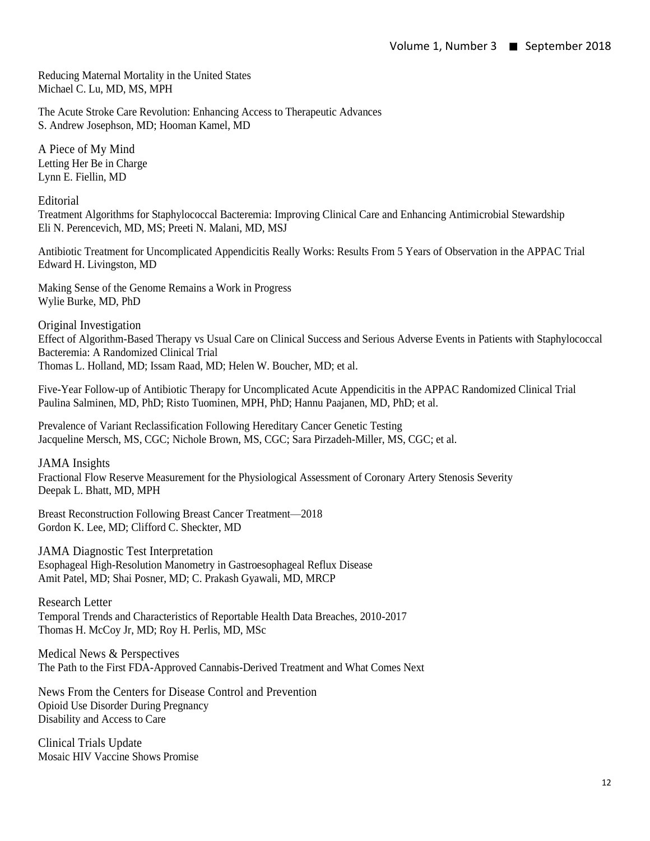Reducing Maternal Mortality in the United States Michael C. Lu, MD, MS, MPH

The Acute Stroke Care Revolution: Enhancing Access to Therapeutic Advances S. Andrew Josephson, MD; Hooman Kamel, MD

A Piece of My Mind Letting Her Be in Charge Lynn E. Fiellin, MD

Editorial

Treatment Algorithms for Staphylococcal Bacteremia: Improving Clinical Care and Enhancing Antimicrobial Stewardship Eli N. Perencevich, MD, MS; Preeti N. Malani, MD, MSJ

Antibiotic Treatment for Uncomplicated Appendicitis Really Works: Results From 5 Years of Observation in the APPAC Trial Edward H. Livingston, MD

Making Sense of the Genome Remains a Work in Progress Wylie Burke, MD, PhD

Original Investigation Effect of Algorithm-Based Therapy vs Usual Care on Clinical Success and Serious Adverse Events in Patients with Staphylococcal Bacteremia: A Randomized Clinical Trial Thomas L. Holland, MD; Issam Raad, MD; Helen W. Boucher, MD; et al.

Five-Year Follow-up of Antibiotic Therapy for Uncomplicated Acute Appendicitis in the APPAC Randomized Clinical Trial Paulina Salminen, MD, PhD; Risto Tuominen, MPH, PhD; Hannu Paajanen, MD, PhD; et al.

Prevalence of Variant Reclassification Following Hereditary Cancer Genetic Testing Jacqueline Mersch, MS, CGC; Nichole Brown, MS, CGC; Sara Pirzadeh-Miller, MS, CGC; et al.

JAMA Insights Fractional Flow Reserve Measurement for the Physiological Assessment of Coronary Artery Stenosis Severity Deepak L. Bhatt, MD, MPH

Breast Reconstruction Following Breast Cancer Treatment—2018 Gordon K. Lee, MD; Clifford C. Sheckter, MD

JAMA Diagnostic Test Interpretation Esophageal High-Resolution Manometry in Gastroesophageal Reflux Disease Amit Patel, MD; Shai Posner, MD; C. Prakash Gyawali, MD, MRCP

Research Letter Temporal Trends and Characteristics of Reportable Health Data Breaches, 2010-2017 Thomas H. McCoy Jr, MD; Roy H. Perlis, MD, MSc

Medical News & Perspectives The Path to the First FDA-Approved Cannabis-Derived Treatment and What Comes Next

News From the Centers for Disease Control and Prevention Opioid Use Disorder During Pregnancy Disability and Access to Care

Clinical Trials Update Mosaic HIV Vaccine Shows Promise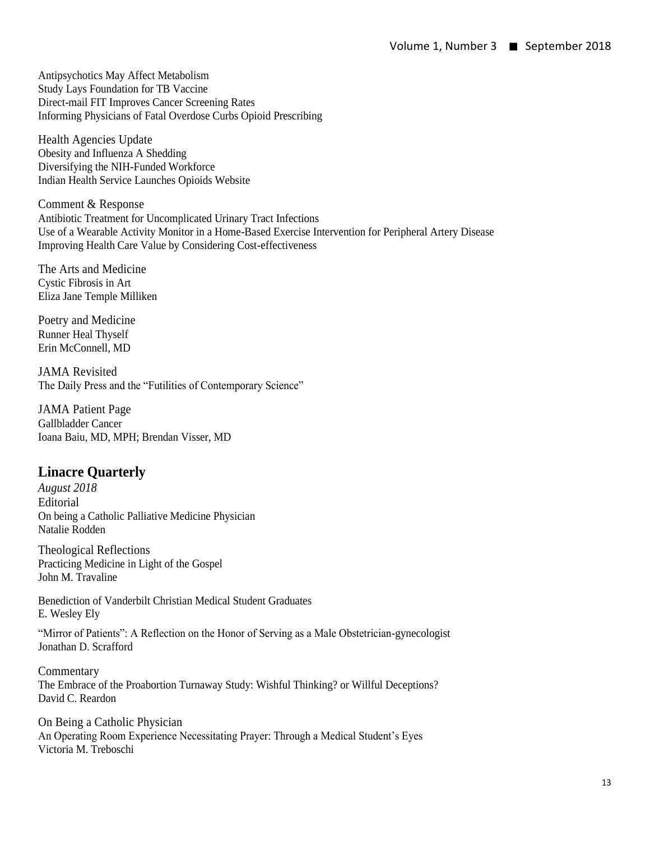Antipsychotics May Affect Metabolism Study Lays Foundation for TB Vaccine Direct-mail FIT Improves Cancer Screening Rates Informing Physicians of Fatal Overdose Curbs Opioid Prescribing

Health Agencies Update Obesity and Influenza A Shedding Diversifying the NIH-Funded Workforce Indian Health Service Launches Opioids Website

Comment & Response Antibiotic Treatment for Uncomplicated Urinary Tract Infections Use of a Wearable Activity Monitor in a Home-Based Exercise Intervention for Peripheral Artery Disease Improving Health Care Value by Considering Cost-effectiveness

The Arts and Medicine Cystic Fibrosis in Art Eliza Jane Temple Milliken

Poetry and Medicine Runner Heal Thyself Erin McConnell, MD

JAMA Revisited The Daily Press and the "Futilities of Contemporary Science"

JAMA Patient Page Gallbladder Cancer Ioana Baiu, MD, MPH; Brendan Visser, MD

# **Linacre Quarterly**

*August 2018* Editorial On being a Catholic Palliative Medicine Physician Natalie Rodden

Theological Reflections Practicing Medicine in Light of the Gospel John M. Travaline

Benediction of Vanderbilt Christian Medical Student Graduates E. Wesley Ely

"Mirror of Patients": A Reflection on the Honor of Serving as a Male Obstetrician-gynecologist Jonathan D. Scrafford

**Commentary** The Embrace of the Proabortion Turnaway Study: Wishful Thinking? or Willful Deceptions? David C. Reardon

On Being a Catholic Physician An Operating Room Experience Necessitating Prayer: Through a Medical Student's Eyes Victoria M. Treboschi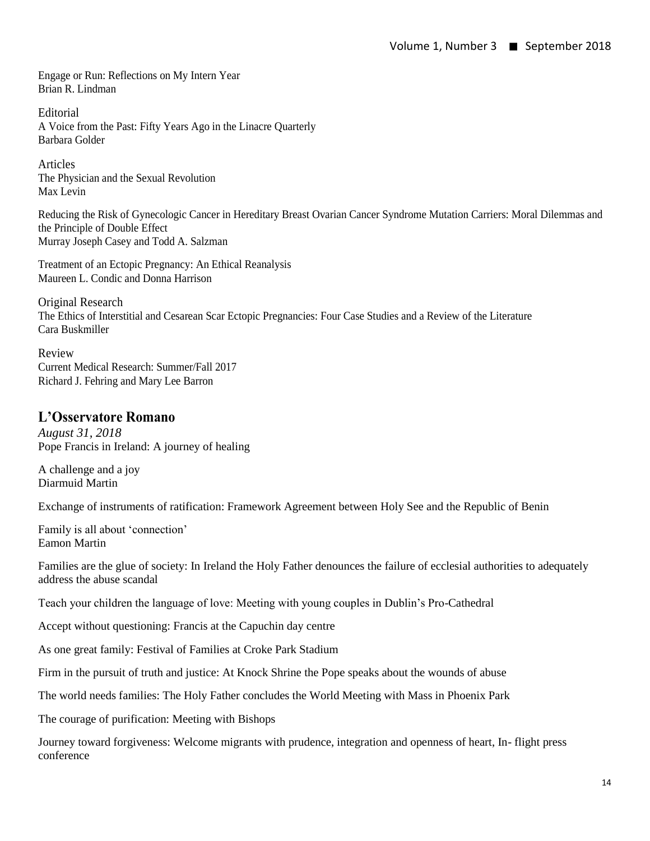Engage or Run: Reflections on My Intern Year Brian R. Lindman

Editorial A Voice from the Past: Fifty Years Ago in the Linacre Quarterly Barbara Golder

Articles The Physician and the Sexual Revolution Max Levin

Reducing the Risk of Gynecologic Cancer in Hereditary Breast Ovarian Cancer Syndrome Mutation Carriers: Moral Dilemmas and the Principle of Double Effect Murray Joseph Casey and Todd A. Salzman

Treatment of an Ectopic Pregnancy: An Ethical Reanalysis Maureen L. Condic and Donna Harrison

Original Research The Ethics of Interstitial and Cesarean Scar Ectopic Pregnancies: Four Case Studies and a Review of the Literature Cara Buskmiller

Review Current Medical Research: Summer/Fall 2017 Richard J. Fehring and Mary Lee Barron

# **L'Osservatore Romano**

*August 31, 2018* Pope Francis in Ireland: A journey of healing

A challenge and a joy Diarmuid Martin

Exchange of instruments of ratification: Framework Agreement between Holy See and the Republic of Benin

Family is all about 'connection' Eamon Martin

Families are the glue of society: In Ireland the Holy Father denounces the failure of ecclesial authorities to adequately address the abuse scandal

Teach your children the language of love: Meeting with young couples in Dublin's Pro-Cathedral

Accept without questioning: Francis at the Capuchin day centre

As one great family: Festival of Families at Croke Park Stadium

Firm in the pursuit of truth and justice: At Knock Shrine the Pope speaks about the wounds of abuse

The world needs families: The Holy Father concludes the World Meeting with Mass in Phoenix Park

The courage of purification: Meeting with Bishops

Journey toward forgiveness: Welcome migrants with prudence, integration and openness of heart, In- flight press conference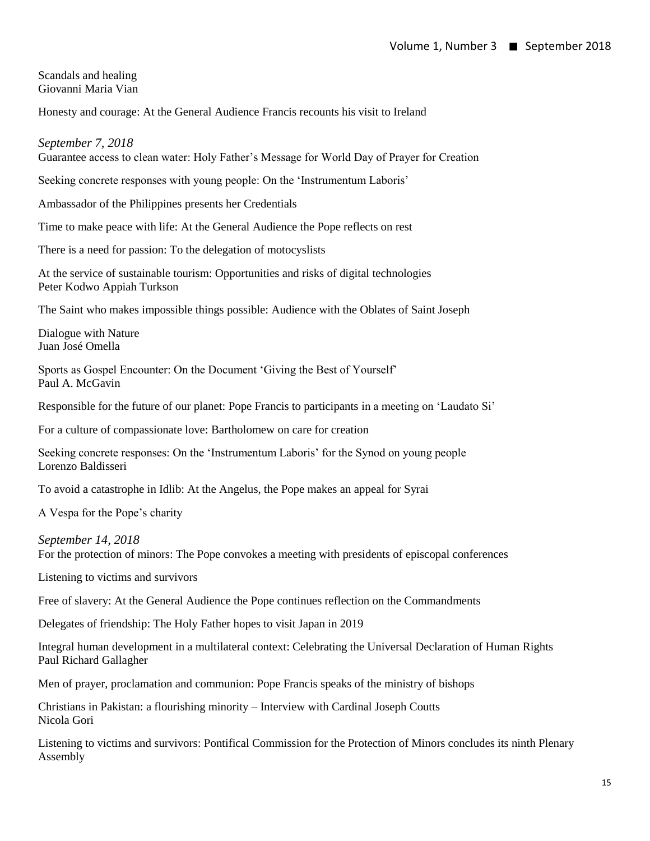Scandals and healing Giovanni Maria Vian

Honesty and courage: At the General Audience Francis recounts his visit to Ireland

*September 7, 2018*

Guarantee access to clean water: Holy Father's Message for World Day of Prayer for Creation

Seeking concrete responses with young people: On the 'Instrumentum Laboris'

Ambassador of the Philippines presents her Credentials

Time to make peace with life: At the General Audience the Pope reflects on rest

There is a need for passion: To the delegation of motocyslists

At the service of sustainable tourism: Opportunities and risks of digital technologies Peter Kodwo Appiah Turkson

The Saint who makes impossible things possible: Audience with the Oblates of Saint Joseph

Dialogue with Nature Juan José Omella

Sports as Gospel Encounter: On the Document 'Giving the Best of Yourself' Paul A. McGavin

Responsible for the future of our planet: Pope Francis to participants in a meeting on 'Laudato Si'

For a culture of compassionate love: Bartholomew on care for creation

Seeking concrete responses: On the 'Instrumentum Laboris' for the Synod on young people Lorenzo Baldisseri

To avoid a catastrophe in Idlib: At the Angelus, the Pope makes an appeal for Syrai

A Vespa for the Pope's charity

*September 14, 2018*

For the protection of minors: The Pope convokes a meeting with presidents of episcopal conferences

Listening to victims and survivors

Free of slavery: At the General Audience the Pope continues reflection on the Commandments

Delegates of friendship: The Holy Father hopes to visit Japan in 2019

Integral human development in a multilateral context: Celebrating the Universal Declaration of Human Rights Paul Richard Gallagher

Men of prayer, proclamation and communion: Pope Francis speaks of the ministry of bishops

Christians in Pakistan: a flourishing minority – Interview with Cardinal Joseph Coutts Nicola Gori

Listening to victims and survivors: Pontifical Commission for the Protection of Minors concludes its ninth Plenary Assembly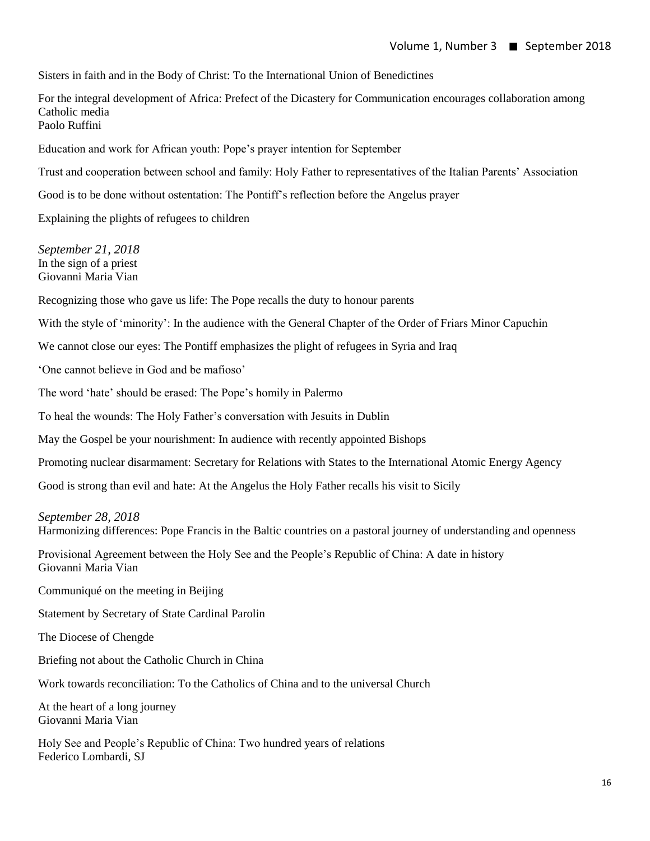Sisters in faith and in the Body of Christ: To the International Union of Benedictines

For the integral development of Africa: Prefect of the Dicastery for Communication encourages collaboration among Catholic media Paolo Ruffini

Education and work for African youth: Pope's prayer intention for September

Trust and cooperation between school and family: Holy Father to representatives of the Italian Parents' Association

Good is to be done without ostentation: The Pontiff's reflection before the Angelus prayer

Explaining the plights of refugees to children

*September 21, 2018* In the sign of a priest Giovanni Maria Vian

Recognizing those who gave us life: The Pope recalls the duty to honour parents

With the style of 'minority': In the audience with the General Chapter of the Order of Friars Minor Capuchin

We cannot close our eyes: The Pontiff emphasizes the plight of refugees in Syria and Iraq

'One cannot believe in God and be mafioso'

The word 'hate' should be erased: The Pope's homily in Palermo

To heal the wounds: The Holy Father's conversation with Jesuits in Dublin

May the Gospel be your nourishment: In audience with recently appointed Bishops

Promoting nuclear disarmament: Secretary for Relations with States to the International Atomic Energy Agency

Good is strong than evil and hate: At the Angelus the Holy Father recalls his visit to Sicily

*September 28, 2018*

Harmonizing differences: Pope Francis in the Baltic countries on a pastoral journey of understanding and openness

Provisional Agreement between the Holy See and the People's Republic of China: A date in history Giovanni Maria Vian

Communiqué on the meeting in Beijing

Statement by Secretary of State Cardinal Parolin

The Diocese of Chengde

Briefing not about the Catholic Church in China

Work towards reconciliation: To the Catholics of China and to the universal Church

At the heart of a long journey Giovanni Maria Vian

Holy See and People's Republic of China: Two hundred years of relations Federico Lombardi, SJ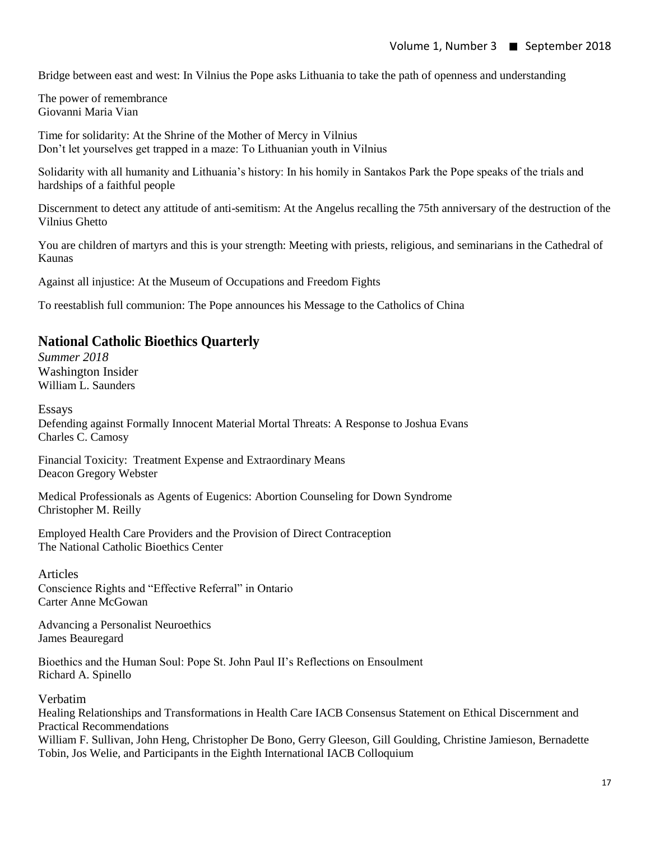Bridge between east and west: In Vilnius the Pope asks Lithuania to take the path of openness and understanding

The power of remembrance Giovanni Maria Vian

Time for solidarity: At the Shrine of the Mother of Mercy in Vilnius Don't let yourselves get trapped in a maze: To Lithuanian youth in Vilnius

Solidarity with all humanity and Lithuania's history: In his homily in Santakos Park the Pope speaks of the trials and hardships of a faithful people

Discernment to detect any attitude of anti-semitism: At the Angelus recalling the 75th anniversary of the destruction of the Vilnius Ghetto

You are children of martyrs and this is your strength: Meeting with priests, religious, and seminarians in the Cathedral of Kaunas

Against all injustice: At the Museum of Occupations and Freedom Fights

To reestablish full communion: The Pope announces his Message to the Catholics of China

#### **National Catholic Bioethics Quarterly**

*Summer 2018* Washington Insider William L. Saunders

Essays Defending against Formally Innocent Material Mortal Threats: A Response to Joshua Evans Charles C. Camosy

Financial Toxicity: Treatment Expense and Extraordinary Means Deacon Gregory Webster

Medical Professionals as Agents of Eugenics: Abortion Counseling for Down Syndrome Christopher M. Reilly

Employed Health Care Providers and the Provision of Direct Contraception The National Catholic Bioethics Center

#### Articles

Conscience Rights and "Effective Referral" in Ontario Carter Anne McGowan

Advancing a Personalist Neuroethics James Beauregard

Bioethics and the Human Soul: Pope St. John Paul II's Reflections on Ensoulment Richard A. Spinello

Verbatim

Healing Relationships and Transformations in Health Care IACB Consensus Statement on Ethical Discernment and Practical Recommendations William F. Sullivan, John Heng, Christopher De Bono, Gerry Gleeson, Gill Goulding, Christine Jamieson, Bernadette Tobin, Jos Welie, and Participants in the Eighth International IACB Colloquium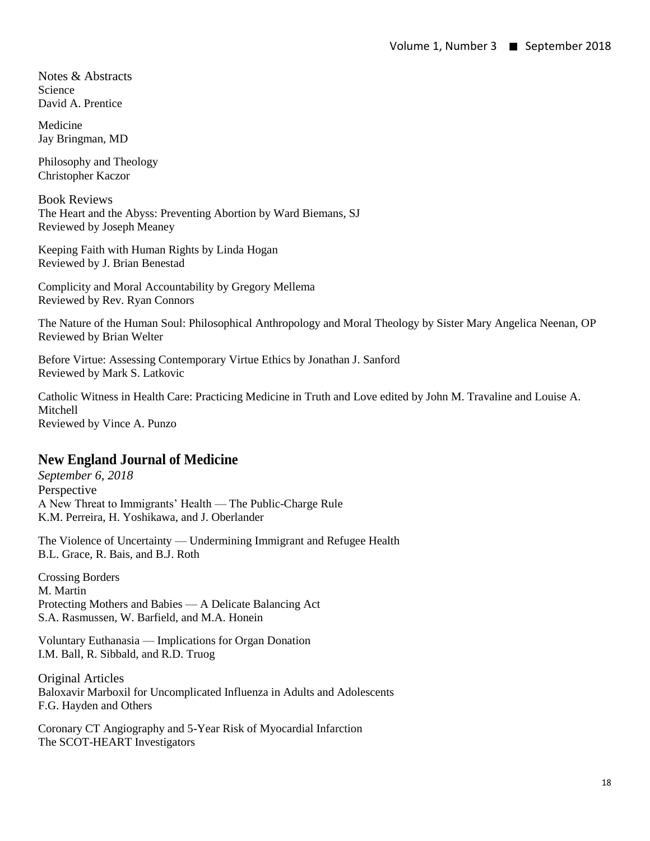Notes & Abstracts Science David A. Prentice

Medicine Jay Bringman, MD

Philosophy and Theology Christopher Kaczor

Book Reviews The Heart and the Abyss: Preventing Abortion by Ward Biemans, SJ Reviewed by Joseph Meaney

Keeping Faith with Human Rights by Linda Hogan Reviewed by J. Brian Benestad

Complicity and Moral Accountability by Gregory Mellema Reviewed by Rev. Ryan Connors

The Nature of the Human Soul: Philosophical Anthropology and Moral Theology by Sister Mary Angelica Neenan, OP Reviewed by Brian Welter

Before Virtue: Assessing Contemporary Virtue Ethics by Jonathan J. Sanford Reviewed by Mark S. Latkovic

Catholic Witness in Health Care: Practicing Medicine in Truth and Love edited by John M. Travaline and Louise A. Mitchell Reviewed by Vince A. Punzo

#### **New England Journal of Medicine**

*September 6, 2018* Perspective A New Threat to Immigrants' Health — The Public-Charge Rule K.M. Perreira, H. Yoshikawa, and J. Oberlander

The Violence of Uncertainty — Undermining Immigrant and Refugee Health B.L. Grace, R. Bais, and B.J. Roth

Crossing Borders M. Martin Protecting Mothers and Babies — A Delicate Balancing Act S.A. Rasmussen, W. Barfield, and M.A. Honein

Voluntary Euthanasia — Implications for Organ Donation I.M. Ball, R. Sibbald, and R.D. Truog

Original Articles Baloxavir Marboxil for Uncomplicated Influenza in Adults and Adolescents F.G. Hayden and Others

Coronary CT Angiography and 5-Year Risk of Myocardial Infarction The SCOT-HEART Investigators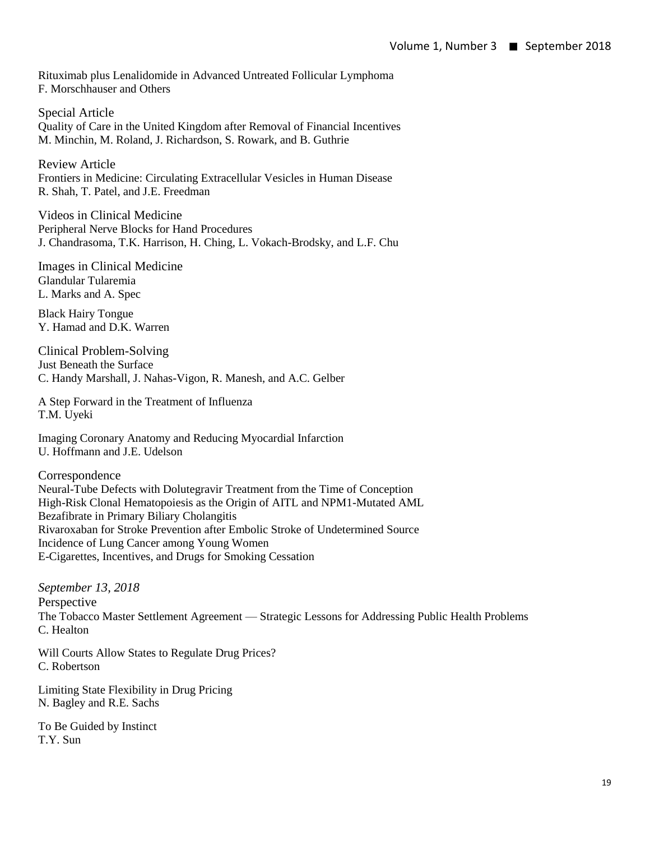Rituximab plus Lenalidomide in Advanced Untreated Follicular Lymphoma F. Morschhauser and Others

Special Article Quality of Care in the United Kingdom after Removal of Financial Incentives M. Minchin, M. Roland, J. Richardson, S. Rowark, and B. Guthrie

Review Article Frontiers in Medicine: Circulating Extracellular Vesicles in Human Disease R. Shah, T. Patel, and J.E. Freedman

Videos in Clinical Medicine Peripheral Nerve Blocks for Hand Procedures J. Chandrasoma, T.K. Harrison, H. Ching, L. Vokach-Brodsky, and L.F. Chu

Images in Clinical Medicine Glandular Tularemia L. Marks and A. Spec

Black Hairy Tongue Y. Hamad and D.K. Warren

Clinical Problem-Solving Just Beneath the Surface C. Handy Marshall, J. Nahas-Vigon, R. Manesh, and A.C. Gelber

A Step Forward in the Treatment of Influenza T.M. Uyeki

Imaging Coronary Anatomy and Reducing Myocardial Infarction U. Hoffmann and J.E. Udelson

Correspondence Neural-Tube Defects with Dolutegravir Treatment from the Time of Conception High-Risk Clonal Hematopoiesis as the Origin of AITL and NPM1-Mutated AML Bezafibrate in Primary Biliary Cholangitis Rivaroxaban for Stroke Prevention after Embolic Stroke of Undetermined Source Incidence of Lung Cancer among Young Women E-Cigarettes, Incentives, and Drugs for Smoking Cessation

*September 13, 2018* Perspective The Tobacco Master Settlement Agreement — Strategic Lessons for Addressing Public Health Problems C. Healton

Will Courts Allow States to Regulate Drug Prices? C. Robertson

Limiting State Flexibility in Drug Pricing N. Bagley and R.E. Sachs

To Be Guided by Instinct T.Y. Sun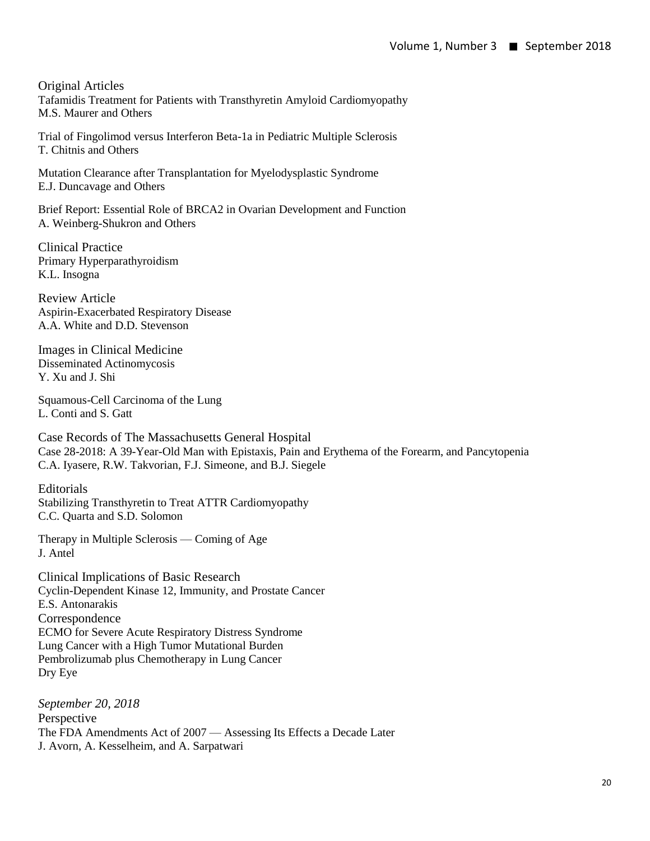Original Articles Tafamidis Treatment for Patients with Transthyretin Amyloid Cardiomyopathy M.S. Maurer and Others

Trial of Fingolimod versus Interferon Beta-1a in Pediatric Multiple Sclerosis T. Chitnis and Others

Mutation Clearance after Transplantation for Myelodysplastic Syndrome E.J. Duncavage and Others

Brief Report: Essential Role of BRCA2 in Ovarian Development and Function A. Weinberg-Shukron and Others

Clinical Practice Primary Hyperparathyroidism K.L. Insogna

Review Article Aspirin-Exacerbated Respiratory Disease A.A. White and D.D. Stevenson

Images in Clinical Medicine Disseminated Actinomycosis Y. Xu and J. Shi

Squamous-Cell Carcinoma of the Lung L. Conti and S. Gatt

Case Records of The Massachusetts General Hospital Case 28-2018: A 39-Year-Old Man with Epistaxis, Pain and Erythema of the Forearm, and Pancytopenia C.A. Iyasere, R.W. Takvorian, F.J. Simeone, and B.J. Siegele

Editorials Stabilizing Transthyretin to Treat ATTR Cardiomyopathy C.C. Quarta and S.D. Solomon

Therapy in Multiple Sclerosis — Coming of Age J. Antel

Clinical Implications of Basic Research Cyclin-Dependent Kinase 12, Immunity, and Prostate Cancer E.S. Antonarakis Correspondence ECMO for Severe Acute Respiratory Distress Syndrome Lung Cancer with a High Tumor Mutational Burden Pembrolizumab plus Chemotherapy in Lung Cancer Dry Eye

*September 20, 2018* Perspective The FDA Amendments Act of 2007 — Assessing Its Effects a Decade Later J. Avorn, A. Kesselheim, and A. Sarpatwari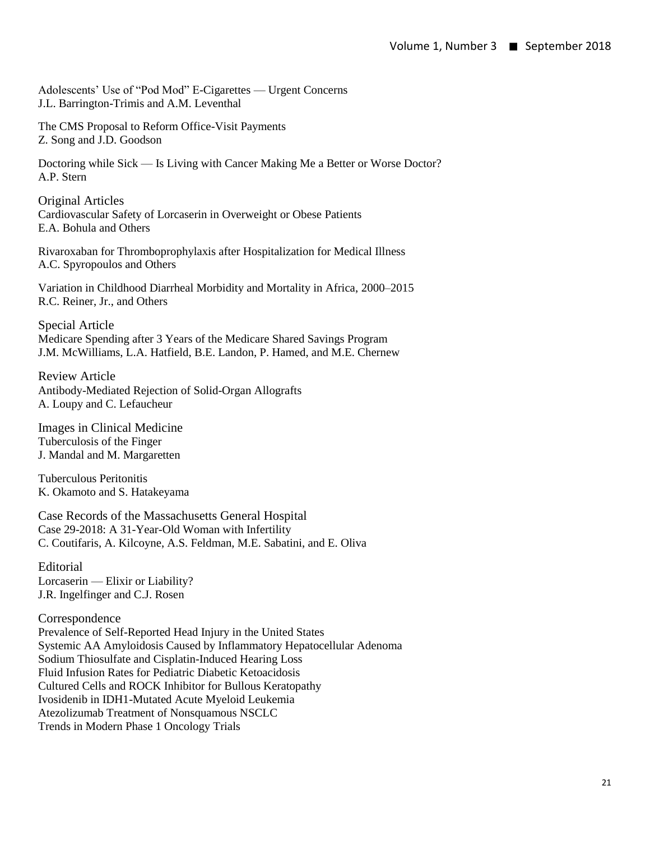Adolescents' Use of "Pod Mod" E-Cigarettes — Urgent Concerns J.L. Barrington-Trimis and A.M. Leventhal

The CMS Proposal to Reform Office-Visit Payments Z. Song and J.D. Goodson

Doctoring while Sick — Is Living with Cancer Making Me a Better or Worse Doctor? A.P. Stern

Original Articles Cardiovascular Safety of Lorcaserin in Overweight or Obese Patients E.A. Bohula and Others

Rivaroxaban for Thromboprophylaxis after Hospitalization for Medical Illness A.C. Spyropoulos and Others

Variation in Childhood Diarrheal Morbidity and Mortality in Africa, 2000–2015 R.C. Reiner, Jr., and Others

Special Article Medicare Spending after 3 Years of the Medicare Shared Savings Program J.M. McWilliams, L.A. Hatfield, B.E. Landon, P. Hamed, and M.E. Chernew

Review Article Antibody-Mediated Rejection of Solid-Organ Allografts A. Loupy and C. Lefaucheur

Images in Clinical Medicine Tuberculosis of the Finger J. Mandal and M. Margaretten

Tuberculous Peritonitis K. Okamoto and S. Hatakeyama

Case Records of the Massachusetts General Hospital Case 29-2018: A 31-Year-Old Woman with Infertility C. Coutifaris, A. Kilcoyne, A.S. Feldman, M.E. Sabatini, and E. Oliva

Editorial Lorcaserin — Elixir or Liability? J.R. Ingelfinger and C.J. Rosen

Correspondence Prevalence of Self-Reported Head Injury in the United States Systemic AA Amyloidosis Caused by Inflammatory Hepatocellular Adenoma Sodium Thiosulfate and Cisplatin-Induced Hearing Loss Fluid Infusion Rates for Pediatric Diabetic Ketoacidosis Cultured Cells and ROCK Inhibitor for Bullous Keratopathy Ivosidenib in IDH1-Mutated Acute Myeloid Leukemia Atezolizumab Treatment of Nonsquamous NSCLC Trends in Modern Phase 1 Oncology Trials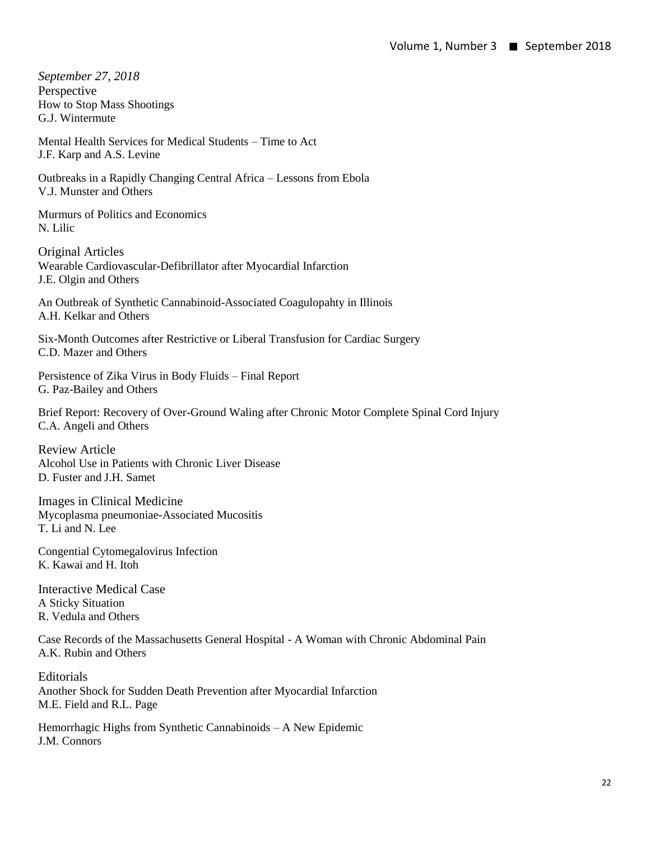*September 27, 2018* Perspective How to Stop Mass Shootings G.J. Wintermute

Mental Health Services for Medical Students – Time to Act J.F. Karp and A.S. Levine

Outbreaks in a Rapidly Changing Central Africa – Lessons from Ebola V.J. Munster and Others

Murmurs of Politics and Economics N. Lilic

Original Articles Wearable Cardiovascular-Defibrillator after Myocardial Infarction J.E. Olgin and Others

An Outbreak of Synthetic Cannabinoid-Associated Coagulopahty in Illinois A.H. Kelkar and Others

Six-Month Outcomes after Restrictive or Liberal Transfusion for Cardiac Surgery C.D. Mazer and Others

Persistence of Zika Virus in Body Fluids – Final Report G. Paz-Bailey and Others

Brief Report: Recovery of Over-Ground Waling after Chronic Motor Complete Spinal Cord Injury C.A. Angeli and Others

Review Article Alcohol Use in Patients with Chronic Liver Disease D. Fuster and J.H. Samet

Images in Clinical Medicine Mycoplasma pneumoniae-Associated Mucositis T. Li and N. Lee

Congential Cytomegalovirus Infection K. Kawai and H. Itoh

Interactive Medical Case A Sticky Situation R. Vedula and Others

Case Records of the Massachusetts General Hospital - A Woman with Chronic Abdominal Pain A.K. Rubin and Others

**Editorials** Another Shock for Sudden Death Prevention after Myocardial Infarction M.E. Field and R.L. Page

Hemorrhagic Highs from Synthetic Cannabinoids – A New Epidemic J.M. Connors